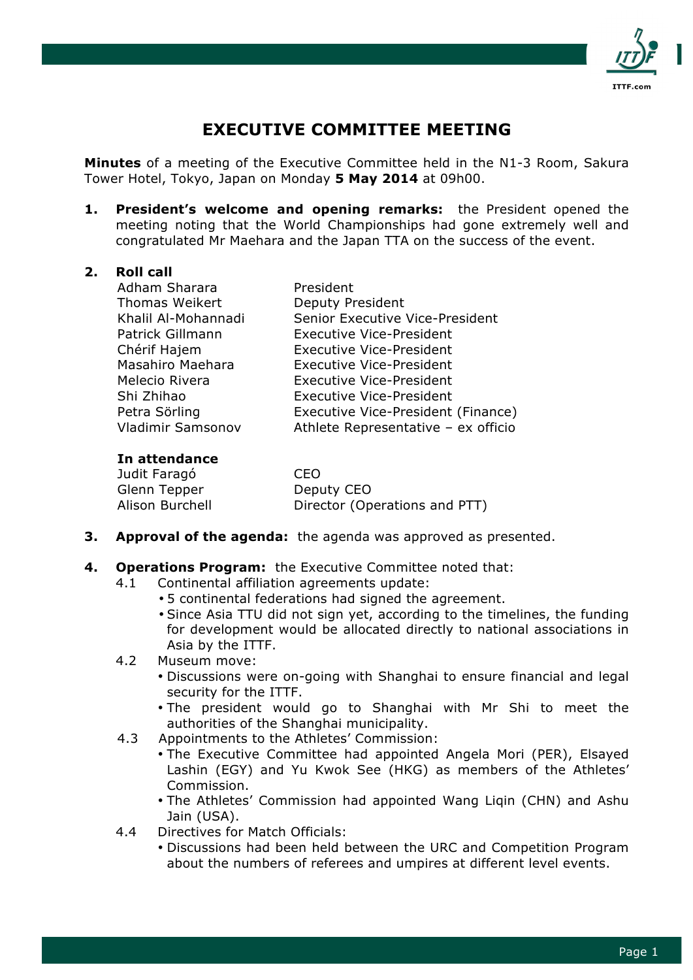

# **EXECUTIVE COMMITTEE MEETING**

**Minutes** of a meeting of the Executive Committee held in the N1-3 Room, Sakura Tower Hotel, Tokyo, Japan on Monday **5 May 2014** at 09h00.

**1. President's welcome and opening remarks:** the President opened the meeting noting that the World Championships had gone extremely well and congratulated Mr Maehara and the Japan TTA on the success of the event.

### **2. Roll call**

| Adham Sharara         | President                           |
|-----------------------|-------------------------------------|
| <b>Thomas Weikert</b> | <b>Deputy President</b>             |
| Khalil Al-Mohannadi   | Senior Executive Vice-President     |
| Patrick Gillmann      | <b>Executive Vice-President</b>     |
| Chérif Hajem          | <b>Executive Vice-President</b>     |
| Masahiro Maehara      | <b>Executive Vice-President</b>     |
| Melecio Rivera        | <b>Executive Vice-President</b>     |
| Shi Zhihao            | <b>Executive Vice-President</b>     |
| Petra Sörling         | Executive Vice-President (Finance)  |
| Vladimir Samsonov     | Athlete Representative - ex officio |

### **In attendance**

| Judit Faragó    | CEO                           |
|-----------------|-------------------------------|
| Glenn Tepper    | Deputy CEO                    |
| Alison Burchell | Director (Operations and PTT) |

- **3. Approval of the agenda:** the agenda was approved as presented.
- **4. Operations Program:** the Executive Committee noted that:
	- 4.1 Continental affiliation agreements update:
		- 5 continental federations had signed the agreement.
		- Since Asia TTU did not sign yet, according to the timelines, the funding for development would be allocated directly to national associations in Asia by the ITTF.
	- 4.2 Museum move:
		- Discussions were on-going with Shanghai to ensure financial and legal security for the ITTF.
		- The president would go to Shanghai with Mr Shi to meet the authorities of the Shanghai municipality.
	- 4.3 Appointments to the Athletes' Commission:
		- The Executive Committee had appointed Angela Mori (PER), Elsayed Lashin (EGY) and Yu Kwok See (HKG) as members of the Athletes' Commission.
		- The Athletes' Commission had appointed Wang Liqin (CHN) and Ashu Jain (USA).
	- 4.4 Directives for Match Officials:
		- Discussions had been held between the URC and Competition Program about the numbers of referees and umpires at different level events.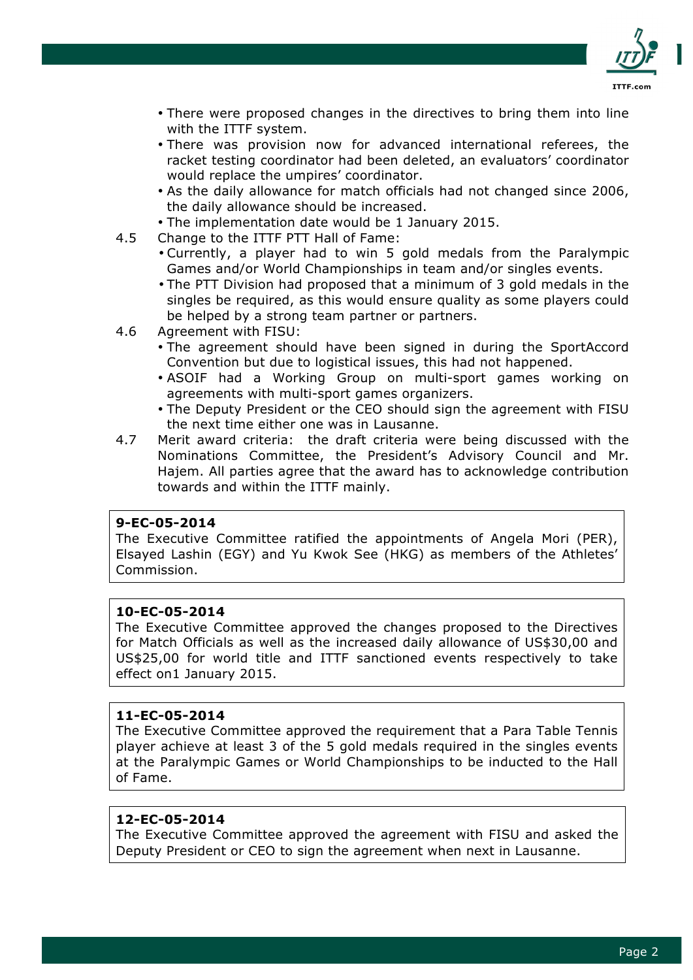

- There were proposed changes in the directives to bring them into line with the ITTF system.
- There was provision now for advanced international referees, the racket testing coordinator had been deleted, an evaluators' coordinator would replace the umpires' coordinator.
- As the daily allowance for match officials had not changed since 2006, the daily allowance should be increased.
- The implementation date would be 1 January 2015.
- 4.5 Change to the ITTF PTT Hall of Fame:
	- Currently, a player had to win 5 gold medals from the Paralympic Games and/or World Championships in team and/or singles events.
	- The PTT Division had proposed that a minimum of 3 gold medals in the singles be required, as this would ensure quality as some players could be helped by a strong team partner or partners.
- 4.6 Agreement with FISU:
	- The agreement should have been signed in during the SportAccord Convention but due to logistical issues, this had not happened.
	- ASOIF had a Working Group on multi-sport games working on agreements with multi-sport games organizers.
	- The Deputy President or the CEO should sign the agreement with FISU the next time either one was in Lausanne.
- 4.7 Merit award criteria: the draft criteria were being discussed with the Nominations Committee, the President's Advisory Council and Mr. Hajem. All parties agree that the award has to acknowledge contribution towards and within the ITTF mainly.

## **9-EC-05-2014**

The Executive Committee ratified the appointments of Angela Mori (PER), Elsayed Lashin (EGY) and Yu Kwok See (HKG) as members of the Athletes' Commission.

#### **10-EC-05-2014**

The Executive Committee approved the changes proposed to the Directives for Match Officials as well as the increased daily allowance of US\$30,00 and US\$25,00 for world title and ITTF sanctioned events respectively to take effect on1 January 2015.

#### **11-EC-05-2014**

The Executive Committee approved the requirement that a Para Table Tennis player achieve at least 3 of the 5 gold medals required in the singles events at the Paralympic Games or World Championships to be inducted to the Hall of Fame.

#### **12-EC-05-2014**

The Executive Committee approved the agreement with FISU and asked the Deputy President or CEO to sign the agreement when next in Lausanne.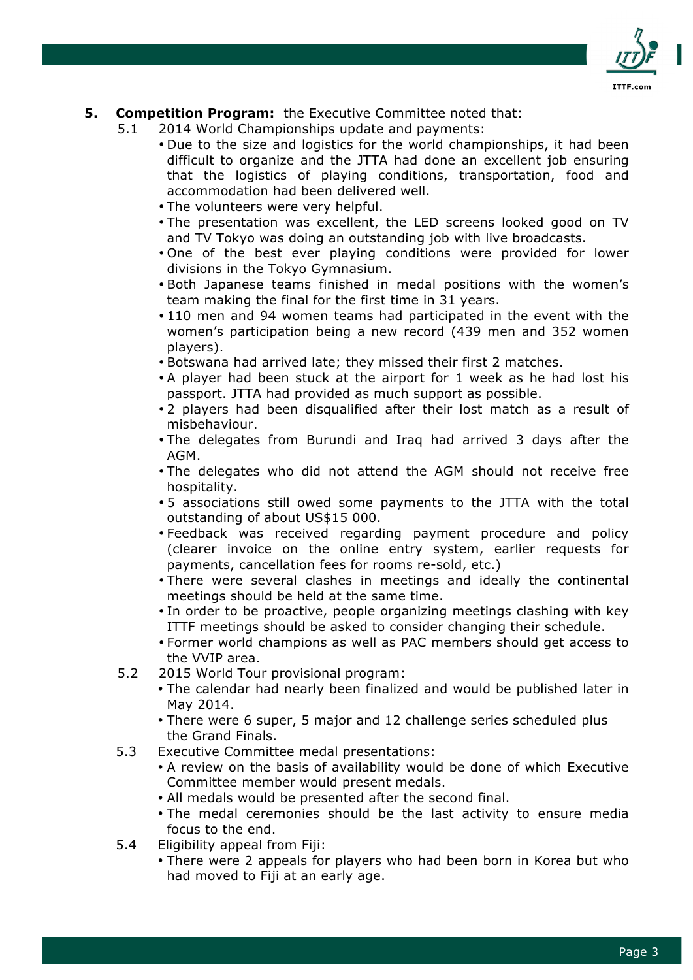

## **5. Competition Program:** the Executive Committee noted that:

- 5.1 2014 World Championships update and payments:
	- Due to the size and logistics for the world championships, it had been difficult to organize and the JTTA had done an excellent job ensuring that the logistics of playing conditions, transportation, food and accommodation had been delivered well.
		- The volunteers were very helpful.
		- The presentation was excellent, the LED screens looked good on TV and TV Tokyo was doing an outstanding job with live broadcasts.
		- One of the best ever playing conditions were provided for lower divisions in the Tokyo Gymnasium.
		- Both Japanese teams finished in medal positions with the women's team making the final for the first time in 31 years.
		- 110 men and 94 women teams had participated in the event with the women's participation being a new record (439 men and 352 women players).
		- Botswana had arrived late; they missed their first 2 matches.
		- A player had been stuck at the airport for 1 week as he had lost his passport. JTTA had provided as much support as possible.
		- 2 players had been disqualified after their lost match as a result of misbehaviour.
		- The delegates from Burundi and Iraq had arrived 3 days after the AGM.
		- The delegates who did not attend the AGM should not receive free hospitality.
		- 5 associations still owed some payments to the JTTA with the total outstanding of about US\$15 000.
		- Feedback was received regarding payment procedure and policy (clearer invoice on the online entry system, earlier requests for payments, cancellation fees for rooms re-sold, etc.)
		- There were several clashes in meetings and ideally the continental meetings should be held at the same time.
		- In order to be proactive, people organizing meetings clashing with key ITTF meetings should be asked to consider changing their schedule.
		- Former world champions as well as PAC members should get access to the VVIP area.
- 5.2 2015 World Tour provisional program:
	- The calendar had nearly been finalized and would be published later in May 2014.
	- There were 6 super, 5 major and 12 challenge series scheduled plus the Grand Finals.
- 5.3 Executive Committee medal presentations:
	- A review on the basis of availability would be done of which Executive Committee member would present medals.
	- All medals would be presented after the second final.
	- The medal ceremonies should be the last activity to ensure media focus to the end.
- 5.4 Eligibility appeal from Fiji:
	- There were 2 appeals for players who had been born in Korea but who had moved to Fiji at an early age.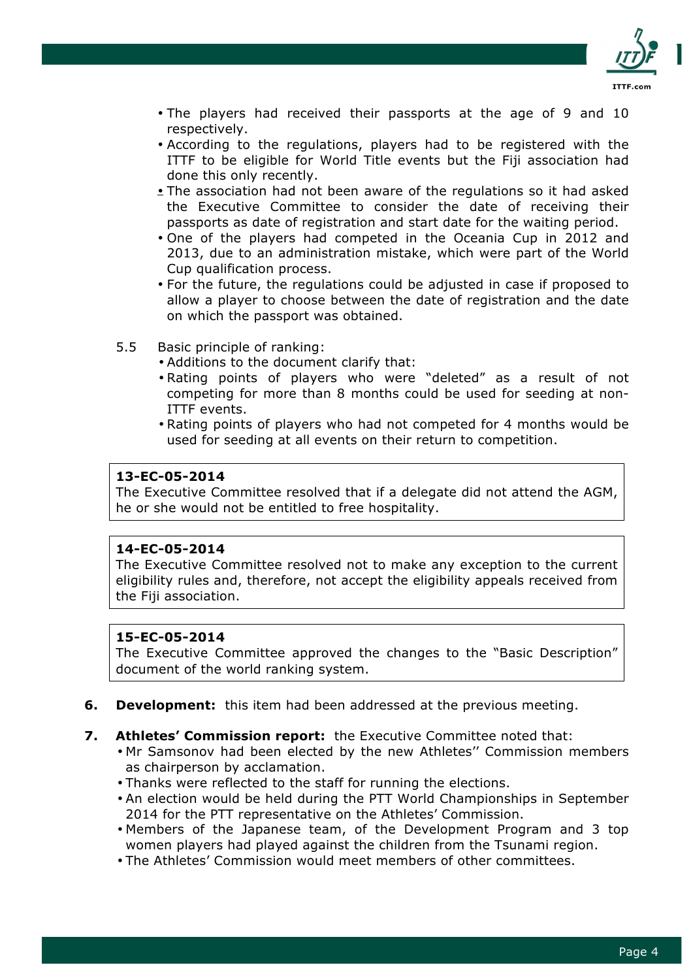

- The players had received their passports at the age of 9 and 10 respectively.
- According to the regulations, players had to be registered with the ITTF to be eligible for World Title events but the Fiji association had done this only recently.
- The association had not been aware of the regulations so it had asked the Executive Committee to consider the date of receiving their passports as date of registration and start date for the waiting period.
- One of the players had competed in the Oceania Cup in 2012 and 2013, due to an administration mistake, which were part of the World Cup qualification process.
- For the future, the regulations could be adjusted in case if proposed to allow a player to choose between the date of registration and the date on which the passport was obtained.
- 5.5 Basic principle of ranking:
	- Additions to the document clarify that:
	- Rating points of players who were "deleted" as a result of not competing for more than 8 months could be used for seeding at non-ITTF events.
	- Rating points of players who had not competed for 4 months would be used for seeding at all events on their return to competition.

#### **13-EC-05-2014**

The Executive Committee resolved that if a delegate did not attend the AGM, he or she would not be entitled to free hospitality.

#### **14-EC-05-2014**

The Executive Committee resolved not to make any exception to the current eligibility rules and, therefore, not accept the eligibility appeals received from the Fiji association.

#### **15-EC-05-2014**

The Executive Committee approved the changes to the "Basic Description" document of the world ranking system.

- **6. Development:** this item had been addressed at the previous meeting.
- **7. Athletes' Commission report:** the Executive Committee noted that:
	- Mr Samsonov had been elected by the new Athletes'' Commission members as chairperson by acclamation.
	- Thanks were reflected to the staff for running the elections.
	- An election would be held during the PTT World Championships in September 2014 for the PTT representative on the Athletes' Commission.
	- Members of the Japanese team, of the Development Program and 3 top women players had played against the children from the Tsunami region.
	- The Athletes' Commission would meet members of other committees.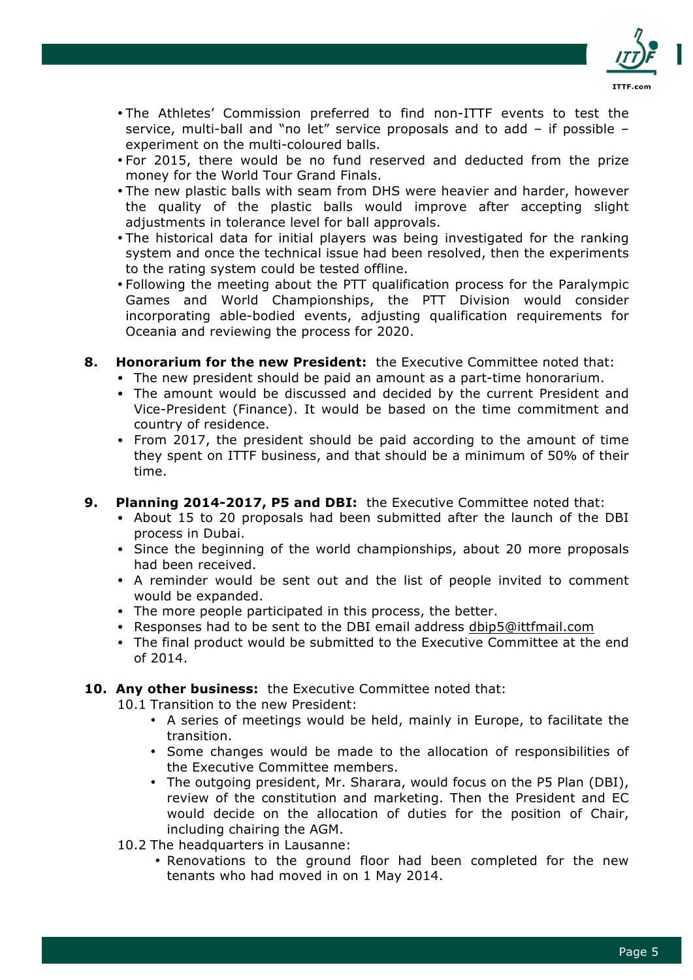

- The Athletes' Commission preferred to find non-ITTF events to test the service, multi-ball and "no let" service proposals and to add – if possible – experiment on the multi-coloured balls.
- For 2015, there would be no fund reserved and deducted from the prize money for the World Tour Grand Finals.
- The new plastic balls with seam from DHS were heavier and harder, however the quality of the plastic balls would improve after accepting slight adjustments in tolerance level for ball approvals.
- The historical data for initial players was being investigated for the ranking system and once the technical issue had been resolved, then the experiments to the rating system could be tested offline.
- Following the meeting about the PTT qualification process for the Paralympic Games and World Championships, the PTT Division would consider incorporating able-bodied events, adjusting qualification requirements for Oceania and reviewing the process for 2020.
- **8. Honorarium for the new President:** the Executive Committee noted that:
	- The new president should be paid an amount as a part-time honorarium.
	- The amount would be discussed and decided by the current President and Vice-President (Finance). It would be based on the time commitment and country of residence.
	- From 2017, the president should be paid according to the amount of time they spent on ITTF business, and that should be a minimum of 50% of their time.
- **9. Planning 2014-2017, P5 and DBI:** the Executive Committee noted that:
	- About 15 to 20 proposals had been submitted after the launch of the DBI process in Dubai.
	- Since the beginning of the world championships, about 20 more proposals had been received.
	- A reminder would be sent out and the list of people invited to comment would be expanded.
	- The more people participated in this process, the better.
	- Responses had to be sent to the DBI email address dbip5@ittfmail.com
	- The final product would be submitted to the Executive Committee at the end of 2014.

## **10. Any other business:** the Executive Committee noted that:

10.1 Transition to the new President:

- A series of meetings would be held, mainly in Europe, to facilitate the transition.
- Some changes would be made to the allocation of responsibilities of the Executive Committee members.
- The outgoing president, Mr. Sharara, would focus on the P5 Plan (DBI), review of the constitution and marketing. Then the President and EC would decide on the allocation of duties for the position of Chair, including chairing the AGM.
- 10.2 The headquarters in Lausanne:
	- Renovations to the ground floor had been completed for the new tenants who had moved in on 1 May 2014.